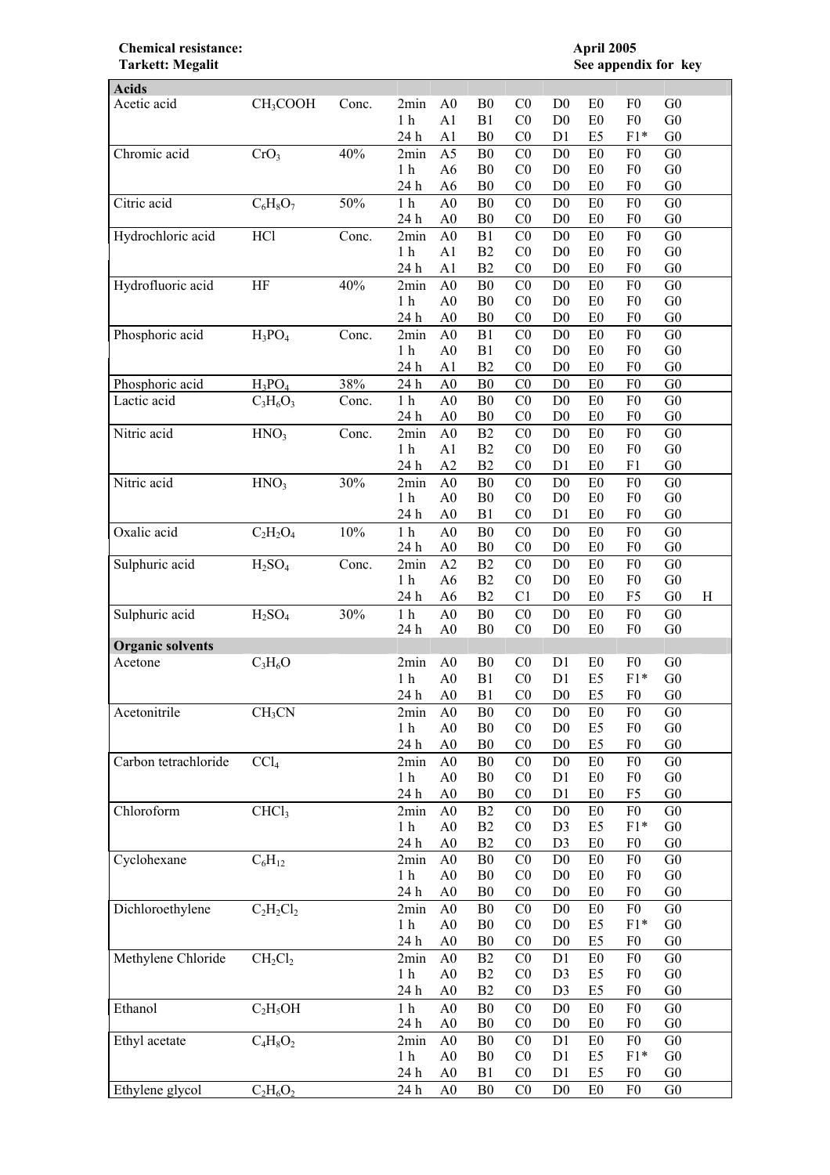**Chemical resistance:**<br>Tarkett: Megalit

**Tarketh: Megality See appendix for key** 

| <b>Acids</b>            |                                  |       |                        |                                  |                                  |                                  |                                  |                                  |                                  |                                  |   |
|-------------------------|----------------------------------|-------|------------------------|----------------------------------|----------------------------------|----------------------------------|----------------------------------|----------------------------------|----------------------------------|----------------------------------|---|
| Acetic acid             | CH <sub>3</sub> COOH             | Conc. | 2min                   | A <sub>0</sub>                   | B <sub>0</sub>                   | C <sub>0</sub>                   | D <sub>0</sub>                   | E0                               | F <sub>0</sub>                   | G <sub>0</sub>                   |   |
|                         |                                  |       | 1 <sub>h</sub>         | A1                               | B1                               | C <sub>0</sub>                   | D <sub>0</sub>                   | E <sub>0</sub>                   | F <sub>0</sub>                   | G <sub>0</sub>                   |   |
|                         |                                  |       | 24 h                   | A1                               | B <sub>0</sub>                   | C <sub>0</sub>                   | D1                               | E <sub>5</sub>                   | $F1*$                            | G <sub>0</sub>                   |   |
| Chromic acid            | CrO <sub>3</sub>                 | 40%   | 2min                   | A5                               | B <sub>0</sub>                   | CO                               | D <sub>0</sub>                   | E0                               | F <sub>0</sub>                   | G <sub>0</sub>                   |   |
|                         |                                  |       | 1 <sub>h</sub>         | A <sub>6</sub>                   | B <sub>0</sub>                   | C <sub>0</sub>                   | D <sub>0</sub>                   | E <sub>0</sub>                   | F <sub>0</sub>                   | ${\rm G0}$                       |   |
|                         |                                  |       | 24 h                   | A6                               | ${\bf B0}$                       | C <sub>0</sub>                   | D <sub>0</sub>                   | E <sub>0</sub>                   | F <sub>0</sub>                   | G <sub>0</sub>                   |   |
| Citric acid             | $C_6H_8O_7$                      | 50%   | $1h$                   | A <sub>0</sub>                   | B <sub>0</sub>                   | C <sub>0</sub>                   | D <sub>0</sub>                   | E <sub>0</sub>                   | F <sub>0</sub>                   | G <sub>0</sub>                   |   |
|                         |                                  |       | 24 h                   | A <sub>0</sub>                   | B <sub>0</sub>                   | C <sub>0</sub>                   | D <sub>0</sub>                   | E <sub>0</sub>                   | F <sub>0</sub>                   | G <sub>0</sub>                   |   |
| Hydrochloric acid       | <b>HCl</b>                       | Conc. | 2min                   | A <sub>0</sub>                   | B1                               | CO                               | D <sub>0</sub>                   | E <sub>0</sub>                   | F <sub>0</sub>                   | G <sub>0</sub>                   |   |
|                         |                                  |       | 1 <sub>h</sub>         | A1                               | B2                               | C <sub>0</sub>                   | D <sub>0</sub>                   | E <sub>0</sub>                   | F <sub>0</sub>                   | G <sub>0</sub>                   |   |
|                         |                                  |       | 24 h                   | A <sub>1</sub>                   | B2                               | C <sub>0</sub>                   | D <sub>0</sub>                   | E <sub>0</sub>                   | F <sub>0</sub>                   | G <sub>0</sub>                   |   |
| Hydrofluoric acid       | HF                               | 40%   | 2min                   | A <sub>0</sub>                   | B <sub>0</sub>                   | C <sub>0</sub>                   | D <sub>0</sub>                   | E <sub>0</sub>                   | ${\rm F0}$                       | G <sub>0</sub>                   |   |
|                         |                                  |       | 1 <sub>h</sub>         | A <sub>0</sub>                   | B <sub>0</sub>                   | CO                               | D <sub>0</sub>                   | E <sub>0</sub>                   | F <sub>0</sub>                   | G <sub>0</sub>                   |   |
|                         |                                  |       | 24 h                   | A <sub>0</sub>                   | B <sub>0</sub>                   | C <sub>0</sub>                   | D <sub>0</sub>                   | E <sub>0</sub>                   | F <sub>0</sub>                   | G <sub>0</sub>                   |   |
| Phosphoric acid         | $H_3PO_4$                        | Conc. | 2min                   | A <sub>0</sub>                   | B1                               | C <sub>0</sub>                   | D <sub>0</sub>                   | E0                               | F <sub>0</sub>                   | G <sub>0</sub>                   |   |
|                         |                                  |       | 1 <sub>h</sub>         | A <sub>0</sub>                   | B1                               | C <sub>0</sub>                   | D <sub>0</sub>                   | E <sub>0</sub>                   | F <sub>0</sub>                   | G <sub>0</sub>                   |   |
|                         |                                  |       | 24 h                   | A <sub>1</sub>                   | B2                               | C <sub>0</sub>                   | D <sub>0</sub>                   | E <sub>0</sub>                   | F <sub>0</sub>                   | G <sub>0</sub>                   |   |
| Phosphoric acid         | $H_3PO_4$                        | 38%   | 24 h                   | A <sub>0</sub>                   | B <sub>0</sub>                   | C <sub>0</sub>                   | D <sub>0</sub>                   | E <sub>0</sub>                   | F <sub>0</sub>                   | G <sub>0</sub>                   |   |
| Lactic acid             | $C_3H_6O_3$                      | Conc. | 1 <sub>h</sub>         | A <sub>0</sub>                   | B <sub>0</sub><br>B <sub>0</sub> | C <sub>0</sub><br>C <sub>0</sub> | D <sub>0</sub>                   | E <sub>0</sub>                   | F <sub>0</sub>                   | G <sub>0</sub><br>G <sub>0</sub> |   |
|                         |                                  |       | 24 h                   | A <sub>0</sub>                   |                                  |                                  | D <sub>0</sub>                   | E <sub>0</sub>                   | F <sub>0</sub>                   |                                  |   |
| Nitric acid             | HNO <sub>3</sub>                 | Conc. | 2min<br>1 <sub>h</sub> | A <sub>0</sub><br>A1             | B2<br>B2                         | C <sub>0</sub><br>C <sub>0</sub> | D <sub>0</sub><br>D <sub>0</sub> | E <sub>0</sub><br>E <sub>0</sub> | F <sub>0</sub><br>F <sub>0</sub> | G <sub>0</sub><br>G <sub>0</sub> |   |
|                         |                                  |       | 24 h                   | A2                               | B2                               | C <sub>0</sub>                   | D1                               | E0                               | F1                               | G <sub>0</sub>                   |   |
| Nitric acid             | HNO <sub>3</sub>                 | 30%   | 2min                   | A <sub>0</sub>                   | B <sub>0</sub>                   | C <sub>0</sub>                   | D <sub>0</sub>                   | E <sub>0</sub>                   | F <sub>0</sub>                   | G <sub>0</sub>                   |   |
|                         |                                  |       | 1 <sub>h</sub>         | A <sub>0</sub>                   | B <sub>0</sub>                   | C <sub>0</sub>                   | D <sub>0</sub>                   | E0                               | F <sub>0</sub>                   | ${\rm G0}$                       |   |
|                         |                                  |       | 24 h                   | A <sub>0</sub>                   | B1                               | C <sub>0</sub>                   | D1                               | E <sub>0</sub>                   | F <sub>0</sub>                   | ${\rm G0}$                       |   |
| Oxalic acid             | $C_2H_2O_4$                      | 10%   | $1\ \mathrm{h}$        | A <sub>0</sub>                   | B <sub>0</sub>                   | C <sub>0</sub>                   | D <sub>0</sub>                   | E0                               | F <sub>0</sub>                   | G <sub>0</sub>                   |   |
|                         |                                  |       | 24 h                   | A <sub>0</sub>                   | B <sub>0</sub>                   | C <sub>0</sub>                   | D <sub>0</sub>                   | E0                               | F <sub>0</sub>                   | G <sub>0</sub>                   |   |
| Sulphuric acid          | H <sub>2</sub> SO <sub>4</sub>   | Conc. | 2min                   | A2                               | B2                               | C <sub>0</sub>                   | D <sub>0</sub>                   | E <sub>0</sub>                   | F <sub>0</sub>                   | G <sub>0</sub>                   |   |
|                         |                                  |       | 1 <sub>h</sub>         | A <sub>6</sub>                   | B2                               | C <sub>0</sub>                   | D <sub>0</sub>                   | E <sub>0</sub>                   | F <sub>0</sub>                   | G <sub>0</sub>                   |   |
|                         |                                  |       | 24 h                   | A6                               | B2                               | C <sub>1</sub>                   | D <sub>0</sub>                   | E0                               | F <sub>5</sub>                   | G <sub>0</sub>                   | H |
| Sulphuric acid          | H <sub>2</sub> SO <sub>4</sub>   | 30%   | $1h$                   | A <sub>0</sub>                   | B <sub>0</sub>                   | C <sub>0</sub>                   | D <sub>0</sub>                   | E0                               | F <sub>0</sub>                   | G <sub>0</sub>                   |   |
|                         |                                  |       | 24 h                   | A <sub>0</sub>                   | B <sub>0</sub>                   | C <sub>0</sub>                   | D <sub>0</sub>                   | E <sub>0</sub>                   | F <sub>0</sub>                   | G <sub>0</sub>                   |   |
| <b>Organic solvents</b> |                                  |       |                        |                                  |                                  |                                  |                                  |                                  |                                  |                                  |   |
| Acetone                 | $C_3H_6O$                        |       | 2min                   | A <sub>0</sub>                   | B <sub>0</sub>                   | C <sub>0</sub>                   | D <sub>1</sub>                   | E <sub>0</sub>                   | F <sub>0</sub>                   | G <sub>0</sub>                   |   |
|                         |                                  |       | 1 <sub>h</sub>         | A <sub>0</sub>                   | B1                               | C <sub>0</sub>                   | D1                               | E5                               | $F1*$                            | G <sub>0</sub>                   |   |
|                         |                                  |       | 24 h                   | A <sub>0</sub>                   | B <sub>1</sub>                   | C <sub>0</sub>                   | D <sub>0</sub>                   | E5                               | F <sub>0</sub>                   | G <sub>0</sub>                   |   |
| Acetonitrile            | CH <sub>3</sub> CN               |       | 2min                   | A <sub>0</sub>                   | ${\rm B}0$                       | C <sub>0</sub>                   | $\mathbf{D}0$                    | E0                               | ${\rm F0}$                       | G <sub>0</sub>                   |   |
|                         |                                  |       | 1 <sub>h</sub>         | A <sub>0</sub>                   | B <sub>0</sub>                   | C <sub>0</sub>                   | D <sub>0</sub>                   | E5                               | F <sub>0</sub>                   | G <sub>0</sub>                   |   |
|                         |                                  |       | 24 h                   | A <sub>0</sub>                   | B <sub>0</sub>                   | C <sub>0</sub>                   | D <sub>0</sub>                   | E5                               | F <sub>0</sub>                   | G <sub>0</sub>                   |   |
| Carbon tetrachloride    | CCl <sub>4</sub>                 |       | 2min                   | A <sub>0</sub>                   | B <sub>0</sub>                   | C <sub>0</sub>                   | D <sub>0</sub>                   | E <sub>0</sub>                   | F <sub>0</sub>                   | G <sub>0</sub>                   |   |
|                         |                                  |       | 1 <sub>h</sub>         | A <sub>0</sub>                   | B <sub>0</sub>                   | C <sub>0</sub>                   | D1                               | E <sub>0</sub>                   | F <sub>0</sub>                   | G <sub>0</sub>                   |   |
|                         |                                  |       | 24 h                   | A <sub>0</sub>                   | B <sub>0</sub>                   | C <sub>0</sub>                   | D1                               | E <sub>0</sub>                   | F <sub>5</sub>                   | G <sub>0</sub>                   |   |
| Chloroform              | CHCl <sub>3</sub>                |       | 2min                   | A <sub>0</sub>                   | B2                               | CO                               | D <sub>0</sub>                   | E0                               | F <sub>0</sub>                   | G <sub>0</sub>                   |   |
|                         |                                  |       | 1 <sub>h</sub>         | A <sub>0</sub>                   | B2                               | C <sub>0</sub>                   | D <sub>3</sub>                   | E5                               | $F1*$                            | G <sub>0</sub>                   |   |
|                         |                                  |       | 24 h                   | A <sub>0</sub>                   | B2                               | C <sub>0</sub>                   | D <sub>3</sub>                   | E <sub>0</sub>                   | F <sub>0</sub>                   | G <sub>0</sub>                   |   |
| Cyclohexane             | $C_6H_{12}$                      |       | 2min                   | A <sub>0</sub>                   | B <sub>0</sub>                   | C <sub>0</sub>                   | D <sub>0</sub>                   | E <sub>0</sub>                   | F <sub>0</sub>                   | G <sub>0</sub>                   |   |
|                         |                                  |       | 1 <sub>h</sub><br>24 h | A <sub>0</sub><br>A <sub>0</sub> | ${\bf B0}$<br>B <sub>0</sub>     | C <sub>0</sub><br>C <sub>0</sub> | D <sub>0</sub><br>D <sub>0</sub> | E0<br>E <sub>0</sub>             | F <sub>0</sub><br>F <sub>0</sub> | G <sub>0</sub><br>G <sub>0</sub> |   |
| Dichloroethylene        |                                  |       | 2min                   | A <sub>0</sub>                   | B <sub>0</sub>                   | C <sub>0</sub>                   | D <sub>0</sub>                   | E0                               | ${\rm F0}$                       | G <sub>0</sub>                   |   |
|                         | $C_2H_2Cl_2$                     |       | 1 <sub>h</sub>         | A <sub>0</sub>                   | B <sub>0</sub>                   | C <sub>0</sub>                   | D <sub>0</sub>                   | E5                               | $F1*$                            | G <sub>0</sub>                   |   |
|                         |                                  |       | 24 h                   | A <sub>0</sub>                   | B <sub>0</sub>                   | C <sub>0</sub>                   | D <sub>0</sub>                   | E5                               | F <sub>0</sub>                   | G <sub>0</sub>                   |   |
| Methylene Chloride      | $CH_2Cl_2$                       |       | 2min                   | A <sub>0</sub>                   | B2                               | C <sub>0</sub>                   | D1                               | E0                               | F <sub>0</sub>                   | G <sub>0</sub>                   |   |
|                         |                                  |       | 1 <sub>h</sub>         | A <sub>0</sub>                   | B2                               | C <sub>0</sub>                   | D <sub>3</sub>                   | E5                               | F <sub>0</sub>                   | G <sub>0</sub>                   |   |
|                         |                                  |       | 24 h                   | A <sub>0</sub>                   | B2                               | C <sub>0</sub>                   | D <sub>3</sub>                   | E5                               | F <sub>0</sub>                   | G <sub>0</sub>                   |   |
| Ethanol                 | C <sub>2</sub> H <sub>5</sub> OH |       | 1 <sub>h</sub>         | A <sub>0</sub>                   | B <sub>0</sub>                   | C <sub>0</sub>                   | D <sub>0</sub>                   | E <sub>0</sub>                   | F <sub>0</sub>                   | G <sub>0</sub>                   |   |
|                         |                                  |       | 24 h                   | A <sub>0</sub>                   | B <sub>0</sub>                   | C <sub>0</sub>                   | D <sub>0</sub>                   | E <sub>0</sub>                   | F <sub>0</sub>                   | G <sub>0</sub>                   |   |
| Ethyl acetate           | $C_4H_8O_2$                      |       | 2min                   | A <sub>0</sub>                   | B <sub>0</sub>                   | CO                               | D1                               | E <sub>0</sub>                   | F <sub>0</sub>                   | G <sub>0</sub>                   |   |
|                         |                                  |       | 1 <sub>h</sub>         | A <sub>0</sub>                   | B <sub>0</sub>                   | C <sub>0</sub>                   | D1                               | E5                               | $F1*$                            | ${\rm G0}$                       |   |
|                         |                                  |       | 24 h                   | A <sub>0</sub>                   | B1                               | C <sub>0</sub>                   | D1                               | E5                               | F <sub>0</sub>                   | G <sub>0</sub>                   |   |
| Ethylene glycol         | $C_2H_6O_2$                      |       | 24 h                   | A <sub>0</sub>                   | B <sub>0</sub>                   | C <sub>0</sub>                   | D <sub>0</sub>                   | E <sub>0</sub>                   | F <sub>0</sub>                   | G <sub>0</sub>                   |   |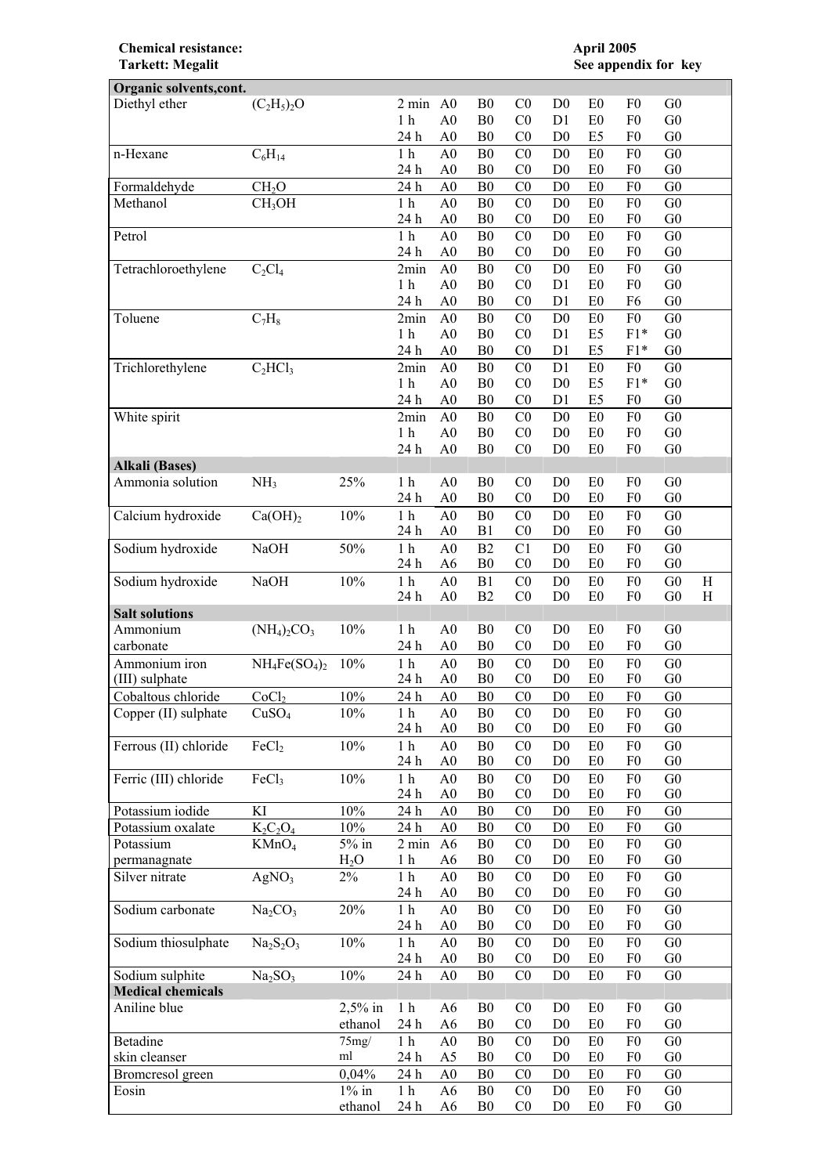## **Chemical resistance:**<br>Tarkett: Megalit

| Organic solvents, cont.  |                                 |                     |                             |                                  |                                  |                                  |                                  |                                  |                                  |                              |         |
|--------------------------|---------------------------------|---------------------|-----------------------------|----------------------------------|----------------------------------|----------------------------------|----------------------------------|----------------------------------|----------------------------------|------------------------------|---------|
| Diethyl ether            | $(C_2H_5)_2O$                   |                     | $2 min$ $A0$                |                                  | B <sub>0</sub>                   | CO                               | D <sub>0</sub>                   | E <sub>0</sub>                   | F <sub>0</sub>                   | G <sub>0</sub>               |         |
|                          |                                 |                     | 1 <sub>h</sub>              | A <sub>0</sub>                   | B <sub>0</sub>                   | CO                               | D1                               | E <sub>0</sub>                   | F <sub>0</sub>                   | G <sub>0</sub>               |         |
|                          |                                 |                     | 24 h                        | A <sub>0</sub>                   | B <sub>0</sub>                   | C <sub>0</sub>                   | D <sub>0</sub>                   | E <sub>5</sub>                   | F <sub>0</sub>                   | G <sub>0</sub>               |         |
| n-Hexane                 | $C_6H_{14}$                     |                     | 1 <sub>h</sub>              | A <sub>0</sub>                   | B <sub>0</sub>                   | C <sub>0</sub>                   | D <sub>0</sub>                   | E <sub>0</sub>                   | F <sub>0</sub>                   | G <sub>0</sub>               |         |
|                          |                                 |                     | 24 h                        | A <sub>0</sub>                   | B <sub>0</sub>                   | C <sub>0</sub>                   | D <sub>0</sub>                   | E <sub>0</sub>                   | F <sub>0</sub>                   | G <sub>0</sub>               |         |
| Formaldehyde             | CH <sub>2</sub> O               |                     | 24 h                        | A <sub>0</sub>                   | B <sub>0</sub>                   | C <sub>0</sub>                   | D <sub>0</sub>                   | E0                               | F <sub>0</sub>                   | G <sub>0</sub>               |         |
| Methanol                 | CH <sub>3</sub> OH              |                     | 1 <sub>h</sub>              | A <sub>0</sub>                   | B <sub>0</sub>                   | C <sub>0</sub>                   | D <sub>0</sub>                   | E <sub>0</sub>                   | F <sub>0</sub>                   | G <sub>0</sub>               |         |
|                          |                                 |                     | 24 h                        | A <sub>0</sub>                   | B <sub>0</sub>                   | C <sub>0</sub>                   | D <sub>0</sub>                   | E <sub>0</sub>                   | F <sub>0</sub>                   | G <sub>0</sub>               |         |
| Petrol                   |                                 |                     | 1 <sub>h</sub>              | A <sub>0</sub>                   | B <sub>0</sub>                   | CO                               | D <sub>0</sub>                   | E <sub>0</sub>                   | ${\rm F0}$                       | G <sub>0</sub>               |         |
|                          |                                 |                     | 24 h                        | ${\bf A0}$                       | B <sub>0</sub>                   | C <sub>0</sub>                   | D <sub>0</sub>                   | E <sub>0</sub>                   | F <sub>0</sub>                   | G <sub>0</sub>               |         |
| Tetrachloroethylene      | $C_2Cl_4$                       |                     | 2min                        | A <sub>0</sub>                   | B <sub>0</sub>                   | CO                               | D <sub>0</sub>                   | E0                               | F <sub>0</sub>                   | G <sub>0</sub>               |         |
|                          |                                 |                     | 1 <sub>h</sub>              | A <sub>0</sub>                   | B <sub>0</sub>                   | CO                               | D <sub>1</sub>                   | E <sub>0</sub>                   | F <sub>0</sub>                   | G <sub>0</sub>               |         |
|                          |                                 |                     | 24 h                        | A <sub>0</sub>                   | B <sub>0</sub>                   | CO                               | D <sub>1</sub>                   | E <sub>0</sub>                   | F6                               | G <sub>0</sub>               |         |
| Toluene                  | $C_7H_8$                        |                     | 2min                        | A <sub>0</sub>                   | B <sub>0</sub>                   | CO                               | D <sub>0</sub>                   | E <sub>0</sub>                   | F <sub>0</sub>                   | G <sub>0</sub>               |         |
|                          |                                 |                     | 1 <sub>h</sub>              | A <sub>0</sub>                   | B <sub>0</sub>                   | C <sub>0</sub>                   | D1                               | E5                               | $F1*$                            | G <sub>0</sub>               |         |
|                          |                                 |                     | 24 h                        | A <sub>0</sub>                   | B <sub>0</sub>                   | C <sub>0</sub>                   | D1                               | E <sub>5</sub>                   | $F1*$                            | ${\rm G0}$                   |         |
| Trichlorethylene         | $C_2 HCl_3$                     |                     | 2min                        | A <sub>0</sub>                   | B <sub>0</sub>                   | C <sub>0</sub>                   | D1                               | E0                               | F <sub>0</sub>                   | G <sub>0</sub>               |         |
|                          |                                 |                     | 1 <sub>h</sub>              | A <sub>0</sub>                   | B <sub>0</sub>                   | C <sub>0</sub>                   | D <sub>0</sub>                   | E <sub>5</sub>                   | $F1*$                            | ${\rm G0}$                   |         |
|                          |                                 |                     | 24 h                        | A <sub>0</sub>                   | B <sub>0</sub>                   | C <sub>0</sub>                   | D1                               | E <sub>5</sub>                   | F <sub>0</sub>                   | ${\rm G0}$                   |         |
| White spirit             |                                 |                     | 2min<br>1 <sub>h</sub>      | A <sub>0</sub><br>A <sub>0</sub> | B <sub>0</sub><br>B <sub>0</sub> | C <sub>0</sub>                   | D <sub>0</sub><br>D <sub>0</sub> | E <sub>0</sub>                   | ${\rm F0}$<br>F <sub>0</sub>     | ${\rm G0}$<br>${\rm G0}$     |         |
|                          |                                 |                     | 24 h                        |                                  | B <sub>0</sub>                   | C <sub>0</sub><br>C <sub>0</sub> | D <sub>0</sub>                   | E <sub>0</sub><br>E <sub>0</sub> | ${\rm F0}$                       | ${\rm G0}$                   |         |
| <b>Alkali</b> (Bases)    |                                 |                     |                             | A <sub>0</sub>                   |                                  |                                  |                                  |                                  |                                  |                              |         |
| Ammonia solution         | NH <sub>3</sub>                 | 25%                 | 1 <sub>h</sub>              | A <sub>0</sub>                   | B <sub>0</sub>                   | C <sub>0</sub>                   | D <sub>0</sub>                   | E <sub>0</sub>                   | F <sub>0</sub>                   | ${\rm G0}$                   |         |
|                          |                                 |                     | 24 h                        | A <sub>0</sub>                   | B <sub>0</sub>                   | C <sub>0</sub>                   | D <sub>0</sub>                   | E <sub>0</sub>                   | F <sub>0</sub>                   | G <sub>0</sub>               |         |
| Calcium hydroxide        |                                 | 10%                 | 1 <sub>h</sub>              | A <sub>0</sub>                   | B <sub>0</sub>                   | C <sub>0</sub>                   | D <sub>0</sub>                   | E <sub>0</sub>                   | F <sub>0</sub>                   | G <sub>0</sub>               |         |
|                          | Ca(OH) <sub>2</sub>             |                     | 24 h                        | A <sub>0</sub>                   | B1                               | C <sub>0</sub>                   | D <sub>0</sub>                   | E <sub>0</sub>                   | F <sub>0</sub>                   | G <sub>0</sub>               |         |
| Sodium hydroxide         | NaOH                            | 50%                 | 1 <sub>h</sub>              | A <sub>0</sub>                   | B2                               | C1                               | D <sub>0</sub>                   | E0                               | F <sub>0</sub>                   | G <sub>0</sub>               |         |
|                          |                                 |                     | 24 h                        | A <sub>6</sub>                   | B <sub>0</sub>                   | C <sub>0</sub>                   | D <sub>0</sub>                   | E0                               | F <sub>0</sub>                   | G <sub>0</sub>               |         |
| Sodium hydroxide         | <b>NaOH</b>                     | 10%                 | 1 <sub>h</sub>              | A <sub>0</sub>                   | B1                               | C <sub>0</sub>                   | D <sub>0</sub>                   | E0                               | ${\rm F0}$                       | G <sub>0</sub>               | $\rm H$ |
|                          |                                 |                     | 24 h                        | A <sub>0</sub>                   | B2                               | C <sub>0</sub>                   | D <sub>0</sub>                   | E <sub>0</sub>                   | F <sub>0</sub>                   | G <sub>0</sub>               | H       |
| <b>Salt solutions</b>    |                                 |                     |                             |                                  |                                  |                                  |                                  |                                  |                                  |                              |         |
| Ammonium                 | $(NH_4)_2CO_3$                  | 10%                 | 1 <sub>h</sub>              | A <sub>0</sub>                   | B <sub>0</sub>                   | CO                               | D <sub>0</sub>                   | E <sub>0</sub>                   | F <sub>0</sub>                   | G <sub>0</sub>               |         |
| carbonate                |                                 |                     | 24 h                        | A <sub>0</sub>                   | B <sub>0</sub>                   | CO                               | D <sub>0</sub>                   | E <sub>0</sub>                   | F <sub>0</sub>                   | G <sub>0</sub>               |         |
| Ammonium iron            | $NH_4Fe(SO_4)_2$                | 10%                 | 1 <sub>h</sub>              | A <sub>0</sub>                   | B <sub>0</sub>                   | C <sub>0</sub>                   | D <sub>0</sub>                   | E0                               | F <sub>0</sub>                   | G <sub>0</sub>               |         |
| (III) sulphate           |                                 |                     | 24 h                        | A <sub>0</sub>                   | B <sub>0</sub>                   | C <sub>0</sub>                   | D <sub>0</sub>                   | E <sub>0</sub>                   | F <sub>0</sub>                   | G <sub>0</sub>               |         |
| Cobaltous chloride       | CoCl <sub>2</sub>               | 10%                 | 24 h                        | A <sub>0</sub>                   | B <sub>0</sub>                   | C <sub>0</sub>                   | D <sub>0</sub>                   | E <sub>0</sub>                   | F <sub>0</sub>                   | G <sub>0</sub>               |         |
| Copper (II) sulphate     | CuSO <sub>4</sub>               | 10%                 | $1\ \mathrm{h}$             | A <sub>0</sub>                   | B <sub>0</sub>                   | C <sub>0</sub>                   | $\mathbf{D}0$                    | E <sub>0</sub>                   | ${\rm F0}$                       | ${\rm G0}$                   |         |
|                          |                                 |                     | $24\ \mathrm{h}$            | A <sub>0</sub>                   |                                  |                                  |                                  |                                  |                                  |                              |         |
| Ferrous (II) chloride    |                                 |                     |                             |                                  | B <sub>0</sub>                   | C <sub>0</sub>                   | D <sub>0</sub>                   | E <sub>0</sub>                   | F <sub>0</sub>                   | G <sub>0</sub>               |         |
|                          |                                 |                     | 1 <sub>h</sub>              | A <sub>0</sub>                   | B <sub>0</sub>                   | C <sub>0</sub>                   | D <sub>0</sub>                   |                                  | F <sub>0</sub>                   | G <sub>0</sub>               |         |
|                          | FeCl <sub>2</sub>               | $10\%$              | 24 h                        | A <sub>0</sub>                   | B <sub>0</sub>                   | C <sub>0</sub>                   | D <sub>0</sub>                   | ${\rm E0}$<br>E <sub>0</sub>     | F <sub>0</sub>                   | G <sub>0</sub>               |         |
| Ferric (III) chloride    | FeCl <sub>3</sub>               | 10%                 | 1 <sub>h</sub>              | A <sub>0</sub>                   | B <sub>0</sub>                   | C <sub>0</sub>                   | D <sub>0</sub>                   | E0                               | F <sub>0</sub>                   | G <sub>0</sub>               |         |
|                          |                                 |                     | 24 h                        | A <sub>0</sub>                   | B <sub>0</sub>                   | C <sub>0</sub>                   | D <sub>0</sub>                   | E <sub>0</sub>                   | F <sub>0</sub>                   | G <sub>0</sub>               |         |
| Potassium iodide         | ΚI                              | 10%                 | 24 h                        | A <sub>0</sub>                   | B <sub>0</sub>                   | C <sub>0</sub>                   | D <sub>0</sub>                   | E <sub>0</sub>                   | F <sub>0</sub>                   | G <sub>0</sub>               |         |
| Potassium oxalate        | $K_2C_2O_4$                     | 10%                 | 24 h                        | A <sub>0</sub>                   | B <sub>0</sub>                   | C <sub>0</sub>                   | D <sub>0</sub>                   | E <sub>0</sub>                   | F <sub>0</sub>                   | G <sub>0</sub>               |         |
| Potassium                | KMnO <sub>4</sub>               | $5\%$ in            | $2 \text{ min}$             | A <sub>6</sub>                   | B <sub>0</sub>                   | C <sub>0</sub>                   | D <sub>0</sub>                   | E0                               | F <sub>0</sub>                   | ${\rm G0}$                   |         |
| permanagnate             |                                 | $H_2O$              | 1 <sub>h</sub>              | A <sub>6</sub>                   | B <sub>0</sub>                   | C <sub>0</sub>                   | D <sub>0</sub>                   | E0                               | F <sub>0</sub>                   | G <sub>0</sub>               |         |
| Silver nitrate           | AgNO <sub>3</sub>               | $2\%$               | 1 <sub>h</sub>              | A <sub>0</sub>                   | B <sub>0</sub>                   | C <sub>0</sub>                   | D <sub>0</sub>                   | E0                               | ${\rm F0}$                       | G <sub>0</sub>               |         |
|                          |                                 |                     | 24 h                        | A <sub>0</sub>                   | ${\bf B0}$                       | C <sub>0</sub>                   | D <sub>0</sub>                   | E <sub>0</sub>                   | F <sub>0</sub>                   | ${\rm G0}$                   |         |
| Sodium carbonate         | Na <sub>2</sub> CO <sub>3</sub> | 20%                 | 1 <sub>h</sub>              | A <sub>0</sub>                   | B <sub>0</sub>                   | C <sub>0</sub>                   | D <sub>0</sub>                   | E <sub>0</sub>                   | F <sub>0</sub>                   | G <sub>0</sub>               |         |
|                          |                                 |                     | 24 h                        | A <sub>0</sub>                   | B <sub>0</sub>                   | C <sub>0</sub>                   | D <sub>0</sub>                   | E <sub>0</sub>                   | F <sub>0</sub>                   | ${\rm G0}$                   |         |
| Sodium thiosulphate      | $Na2S2O3$                       | $10\%$              | $1\ \mathrm{h}$             | A <sub>0</sub>                   | B <sub>0</sub>                   | C <sub>0</sub>                   | D <sub>0</sub>                   | E <sub>0</sub>                   | F <sub>0</sub>                   | G <sub>0</sub>               |         |
|                          |                                 |                     | 24 h                        | A <sub>0</sub>                   | B <sub>0</sub>                   | C <sub>0</sub>                   | D <sub>0</sub>                   | E <sub>0</sub>                   | F <sub>0</sub>                   | G <sub>0</sub>               |         |
| Sodium sulphite          | Na <sub>2</sub> SO <sub>3</sub> | $10\%$              | 24 h                        | A <sub>0</sub>                   | ${\bf B0}$                       | C <sub>0</sub>                   | $\mathbf{D}0$                    | ${\rm E}0$                       | F <sub>0</sub>                   | ${\rm G0}$                   |         |
| <b>Medical chemicals</b> |                                 |                     |                             |                                  |                                  |                                  |                                  |                                  |                                  |                              |         |
| Aniline blue             |                                 | $2,5%$ in           | 1 <sub>h</sub>              | A <sub>6</sub>                   | B <sub>0</sub>                   | C <sub>0</sub>                   | D <sub>0</sub>                   | E <sub>0</sub>                   | F <sub>0</sub>                   | G <sub>0</sub>               |         |
|                          |                                 | ethanol             | $24\,\ensuremath{\hbox{h}}$ | A <sub>6</sub>                   | B <sub>0</sub>                   | C <sub>0</sub>                   | D <sub>0</sub>                   | E0                               | F0                               | ${\rm G0}$                   |         |
| Betadine                 |                                 | 75mg/               | 1 <sub>h</sub>              | A <sub>0</sub>                   | B <sub>0</sub>                   | C <sub>0</sub>                   | D <sub>0</sub>                   | E <sub>0</sub>                   | ${\rm F0}$                       | G <sub>0</sub>               |         |
| skin cleanser            |                                 | ml                  | 24 h                        | A5                               | B <sub>0</sub>                   | C <sub>0</sub>                   | D <sub>0</sub>                   | E <sub>0</sub>                   | F <sub>0</sub>                   | G <sub>0</sub>               |         |
| Bromcresol green         |                                 | 0,04%               | 24 h                        | A <sub>0</sub>                   | B <sub>0</sub>                   | C <sub>0</sub>                   | D <sub>0</sub>                   | E0                               | F <sub>0</sub>                   | ${\rm G0}$                   |         |
| Eosin                    |                                 | $1\%$ in<br>ethanol | 1 <sub>h</sub><br>24 h      | A <sub>6</sub><br>A <sub>6</sub> | ${\bf B0}$<br>B <sub>0</sub>     | C <sub>0</sub><br>C <sub>0</sub> | D <sub>0</sub><br>D <sub>0</sub> | ${\rm E}0$<br>E0                 | F <sub>0</sub><br>F <sub>0</sub> | ${\rm G0}$<br>G <sub>0</sub> |         |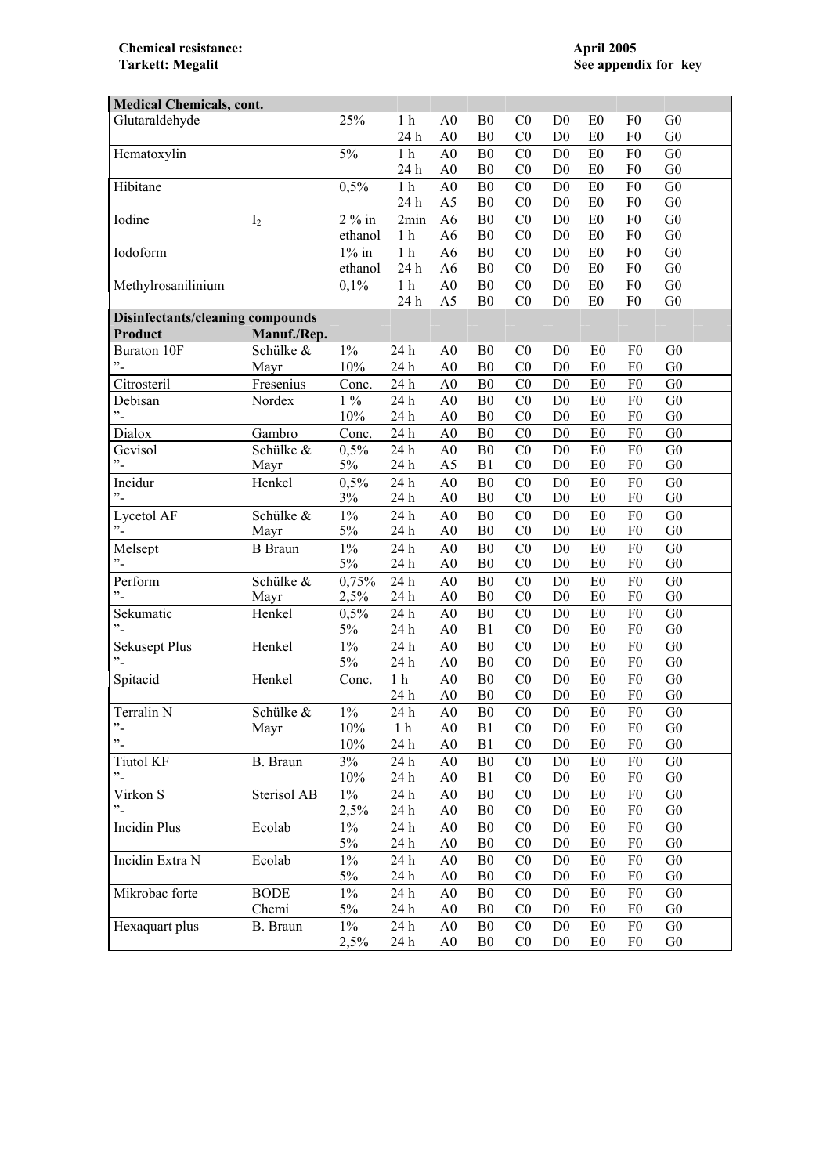**Chemical resistance:**<br>Tarkett: Megalit

| <b>Medical Chemicals, cont.</b>         |                |          |                  |                |                |                |                |                |                |                |
|-----------------------------------------|----------------|----------|------------------|----------------|----------------|----------------|----------------|----------------|----------------|----------------|
| Glutaraldehyde                          |                | 25%      | 1 <sub>h</sub>   | A <sub>0</sub> | B <sub>0</sub> | CO             | D <sub>0</sub> | E <sub>0</sub> | F <sub>0</sub> | G <sub>0</sub> |
|                                         |                |          | 24 h             | A <sub>0</sub> | ${\bf B0}$     | C <sub>0</sub> | D <sub>0</sub> | E0             | F <sub>0</sub> | G <sub>0</sub> |
| Hematoxylin                             |                | 5%       | 1 <sub>h</sub>   | A <sub>0</sub> | B <sub>0</sub> | CO             | D <sub>0</sub> | E <sub>0</sub> | F <sub>0</sub> | G <sub>0</sub> |
|                                         |                |          | 24 h             | A <sub>0</sub> | B <sub>0</sub> | C <sub>0</sub> | D <sub>0</sub> | E0             | F <sub>0</sub> | ${\rm G0}$     |
| Hibitane                                |                | 0,5%     | 1 <sub>h</sub>   | A <sub>0</sub> | B <sub>0</sub> | C <sub>0</sub> | D <sub>0</sub> | E <sub>0</sub> | F <sub>0</sub> | G <sub>0</sub> |
|                                         |                |          | 24 h             | A5             | B <sub>0</sub> | C <sub>0</sub> | D <sub>0</sub> | E <sub>0</sub> | F <sub>0</sub> | ${\rm G0}$     |
| Iodine                                  | I <sub>2</sub> | $2\%$ in | 2min             | A <sub>6</sub> | B <sub>0</sub> | CO             | D <sub>0</sub> | E0             | F <sub>0</sub> | G <sub>0</sub> |
|                                         |                | ethanol  | 1 <sub>h</sub>   | A <sub>6</sub> | B <sub>0</sub> | CO             | D <sub>0</sub> | E <sub>0</sub> | F <sub>0</sub> | G <sub>0</sub> |
| Iodoform                                |                | $1\%$ in | 1 <sub>h</sub>   | A <sub>6</sub> | B <sub>0</sub> | CO             | D <sub>0</sub> | E <sub>0</sub> | F <sub>0</sub> | G <sub>0</sub> |
|                                         |                | ethanol  | 24 h             | A6             | B <sub>0</sub> | CO             | D <sub>0</sub> | E <sub>0</sub> | F <sub>0</sub> | G <sub>0</sub> |
| Methylrosanilinium                      |                | 0,1%     | 1 <sub>h</sub>   | A <sub>0</sub> | B <sub>0</sub> | CO             | D <sub>0</sub> | E <sub>0</sub> | F <sub>0</sub> | G <sub>0</sub> |
|                                         |                |          | 24 h             | A5             | B <sub>0</sub> | CO             | D <sub>0</sub> | E <sub>0</sub> | F <sub>0</sub> | G <sub>0</sub> |
| <b>Disinfectants/cleaning compounds</b> |                |          |                  |                |                |                |                |                |                |                |
| Product                                 | Manuf./Rep.    |          |                  |                |                |                |                |                |                |                |
| Buraton 10F                             | Schülke &      | $1\%$    | 24 h             | A <sub>0</sub> | B <sub>0</sub> | CO             | D <sub>0</sub> | E <sub>0</sub> | F <sub>0</sub> | G <sub>0</sub> |
| $\ddot{\ }$                             | Mayr           | 10%      | 24 h             | A <sub>0</sub> | B <sub>0</sub> | C <sub>0</sub> | D <sub>0</sub> | E <sub>0</sub> | F <sub>0</sub> | G <sub>0</sub> |
| Citrosteril                             | Fresenius      | Conc.    | 24 h             | A <sub>0</sub> | B <sub>0</sub> | C <sub>0</sub> | D <sub>0</sub> | E <sub>0</sub> | F <sub>0</sub> | G <sub>0</sub> |
| Debisan                                 | Nordex         | $1\%$    | 24 h             | A <sub>0</sub> | B <sub>0</sub> | CO             | D <sub>0</sub> | E <sub>0</sub> | F <sub>0</sub> | G <sub>0</sub> |
| $\cdot$ <sup>2</sup>                    |                | 10%      | 24 h             | A <sub>0</sub> | B <sub>0</sub> | CO             | D <sub>0</sub> | E <sub>0</sub> | F <sub>0</sub> | G <sub>0</sub> |
| Dialox                                  | Gambro         | Conc.    | 24 h             | A <sub>0</sub> | B <sub>0</sub> | C <sub>0</sub> | D <sub>0</sub> | E <sub>0</sub> | F <sub>0</sub> | G <sub>0</sub> |
| Gevisol                                 | Schülke &      | 0,5%     | 24 h             | A <sub>0</sub> | B <sub>0</sub> | C <sub>0</sub> | D <sub>0</sub> | E <sub>0</sub> | F <sub>0</sub> | G <sub>0</sub> |
| $\cdot$ <sup>2</sup>                    | Mayr           | 5%       | 24 h             | A5             | B <sub>1</sub> | C <sub>0</sub> | D <sub>0</sub> | E <sub>0</sub> | F <sub>0</sub> | G <sub>0</sub> |
| Incidur                                 | Henkel         | 0,5%     | 24 h             | A <sub>0</sub> | B <sub>0</sub> | CO             | D <sub>0</sub> | E <sub>0</sub> | F <sub>0</sub> | G <sub>0</sub> |
| $\cdot$ <sup>2</sup>                    |                | 3%       | 24 h             | A <sub>0</sub> | B <sub>0</sub> | C <sub>0</sub> | D <sub>0</sub> | E <sub>0</sub> | F <sub>0</sub> | G <sub>0</sub> |
| Lycetol AF                              | Schülke &      | $1\%$    | 24 h             | A <sub>0</sub> | B <sub>0</sub> | CO             | D <sub>0</sub> | E <sub>0</sub> | F <sub>0</sub> | G <sub>0</sub> |
| $\cdot$ <sup>2</sup>                    | Mayr           | $5\%$    | 24 h             | A <sub>0</sub> | B <sub>0</sub> | CO             | D <sub>0</sub> | E <sub>0</sub> | F <sub>0</sub> | G <sub>0</sub> |
| Melsept                                 | <b>B</b> Braun | $1\%$    | 24 h             | A <sub>0</sub> | B <sub>0</sub> | CO             | D <sub>0</sub> | E <sub>0</sub> | F <sub>0</sub> | G <sub>0</sub> |
| $\cdot$                                 |                | $5\%$    | 24 h             | A <sub>0</sub> | B <sub>0</sub> | C <sub>0</sub> | D <sub>0</sub> | E <sub>0</sub> | F <sub>0</sub> | G <sub>0</sub> |
| Perform                                 | Schülke &      | 0,75%    | 24 h             | A <sub>0</sub> | B <sub>0</sub> | C <sub>0</sub> | D <sub>0</sub> | E <sub>0</sub> | F <sub>0</sub> | G <sub>0</sub> |
| $\ddot{\phantom{1}}$                    | Mayr           | 2,5%     | 24 h             | A <sub>0</sub> | ${\bf B0}$     | C <sub>0</sub> | D <sub>0</sub> | E0             | F <sub>0</sub> | G <sub>0</sub> |
| Sekumatic                               | Henkel         | 0,5%     | 24 h             | A <sub>0</sub> | B <sub>0</sub> | CO             | D <sub>0</sub> | E <sub>0</sub> | F <sub>0</sub> | G <sub>0</sub> |
| $\cdot$ -                               |                | 5%       | 24 h             | A <sub>0</sub> | B1             | C <sub>0</sub> | D <sub>0</sub> | E0             | F <sub>0</sub> | G <sub>0</sub> |
| <b>Sekusept Plus</b>                    | Henkel         | $1\%$    | $24\ \mathrm{h}$ | A <sub>0</sub> | B <sub>0</sub> | CO             | D <sub>0</sub> | E <sub>0</sub> | F <sub>0</sub> | G <sub>0</sub> |
| $\cdot$                                 |                | 5%       | 24 h             | A <sub>0</sub> | B <sub>0</sub> | C <sub>0</sub> | D <sub>0</sub> | E <sub>0</sub> | F <sub>0</sub> | G <sub>0</sub> |
| Spitacid                                | Henkel         | Conc.    | $1\ \mathrm{h}$  | A <sub>0</sub> | ${\bf B0}$     | C <sub>0</sub> | D <sub>0</sub> | E <sub>0</sub> | F <sub>0</sub> | G <sub>0</sub> |
|                                         |                |          | 24 h             | A <sub>0</sub> | B <sub>0</sub> | C <sub>0</sub> | D <sub>0</sub> | E <sub>0</sub> | F <sub>0</sub> | G <sub>0</sub> |
| Terralin N                              | Schülke &      | $1\%$    | 24 h             | A <sub>0</sub> | B <sub>0</sub> | CO             | D <sub>0</sub> | E <sub>0</sub> | F <sub>0</sub> | G <sub>0</sub> |
| $"$ -                                   | Mayr           | 10%      | $1\ \mathrm{h}$  | A <sub>0</sub> | B1             | C <sub>0</sub> | D <sub>0</sub> | E <sub>0</sub> | F <sub>0</sub> | G <sub>0</sub> |
| $\ddot{\ }$                             |                | 10%      | 24 h             | A <sub>0</sub> | B1             | CO             | D <sub>0</sub> | E <sub>0</sub> | F <sub>0</sub> | G <sub>0</sub> |
| <b>Tiutol KF</b>                        | B. Braun       | 3%       | $24\ \mathrm{h}$ | A <sub>0</sub> | B <sub>0</sub> | CO             | D <sub>0</sub> | E <sub>0</sub> | F <sub>0</sub> | G <sub>0</sub> |
| $^{\prime\prime}$ .                     |                | 10%      | 24 h             | A <sub>0</sub> | B1             | C <sub>0</sub> | $\mathbf{D}0$  | E <sub>0</sub> | F <sub>0</sub> | G <sub>0</sub> |
| Virkon S                                | Sterisol AB    | $1\%$    | 24 h             | A <sub>0</sub> | B <sub>0</sub> | CO             | D <sub>0</sub> | E <sub>0</sub> | F <sub>0</sub> | G <sub>0</sub> |
| $\ddot{\phantom{0}}$                    |                | 2,5%     | 24 h             | A <sub>0</sub> | B <sub>0</sub> | C <sub>0</sub> | D <sub>0</sub> | E <sub>0</sub> | F <sub>0</sub> | G <sub>0</sub> |
| <b>Incidin Plus</b>                     | Ecolab         | $1\%$    | $24\ \mathrm{h}$ | A <sub>0</sub> | B <sub>0</sub> | CO             | D <sub>0</sub> | E <sub>0</sub> | F <sub>0</sub> | G <sub>0</sub> |
|                                         |                | 5%       | 24 h             | A <sub>0</sub> | B <sub>0</sub> | C <sub>0</sub> | D <sub>0</sub> | E <sub>0</sub> | F <sub>0</sub> | G <sub>0</sub> |
| Incidin Extra N                         | Ecolab         | $1\%$    | 24 h             | A <sub>0</sub> | ${\bf B0}$     | CO             | D <sub>0</sub> | E <sub>0</sub> | F <sub>0</sub> | G <sub>0</sub> |
|                                         |                | $5\%$    | 24 h             | A <sub>0</sub> | B <sub>0</sub> | C <sub>0</sub> | D <sub>0</sub> | E <sub>0</sub> | F <sub>0</sub> | G <sub>0</sub> |
| Mikrobac forte                          | <b>BODE</b>    | $1\%$    | 24 h             | A <sub>0</sub> | B <sub>0</sub> | C <sub>0</sub> | D <sub>0</sub> | E <sub>0</sub> | F <sub>0</sub> | G <sub>0</sub> |
|                                         | Chemi          | 5%       | 24 h             | A <sub>0</sub> | B <sub>0</sub> | C <sub>0</sub> | D <sub>0</sub> | E <sub>0</sub> | F <sub>0</sub> | G <sub>0</sub> |
| Hexaguart plus                          | B. Braun       | $1\%$    | 24 h             | A <sub>0</sub> | B <sub>0</sub> | C <sub>0</sub> | D <sub>0</sub> | E <sub>0</sub> | F <sub>0</sub> | G <sub>0</sub> |
|                                         |                | 2,5%     | 24 h             | A <sub>0</sub> | B <sub>0</sub> | C <sub>0</sub> | D <sub>0</sub> | E <sub>0</sub> | F <sub>0</sub> | G <sub>0</sub> |